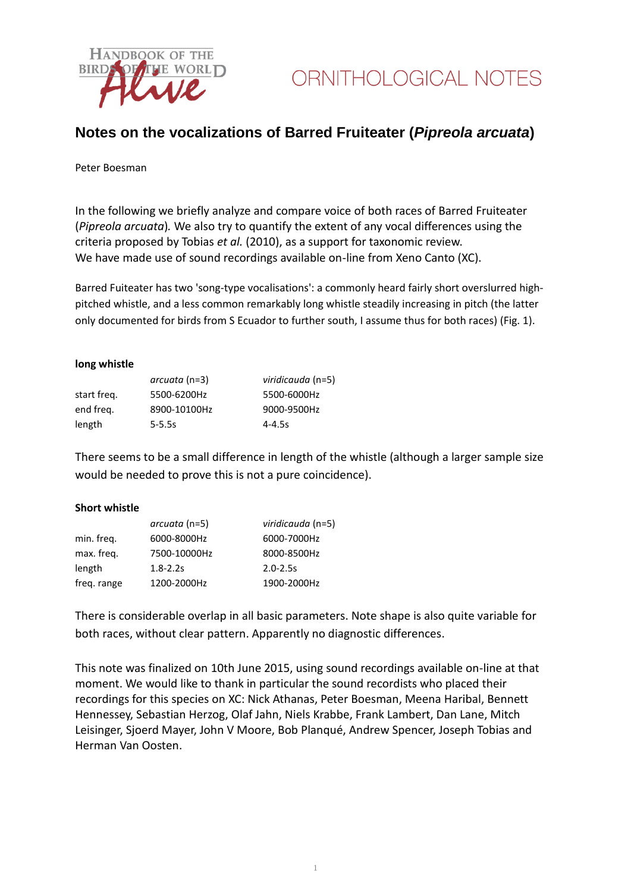

## **Notes on the vocalizations of Barred Fruiteater (***Pipreola arcuata***)**

#### Peter Boesman

In the following we briefly analyze and compare voice of both races of Barred Fruiteater (*Pipreola arcuata*)*.* We also try to quantify the extent of any vocal differences using the criteria proposed by Tobias *et al.* (2010), as a support for taxonomic review. We have made use of sound recordings available on-line from Xeno Canto (XC).

Barred Fuiteater has two 'song-type vocalisations': a commonly heard fairly short overslurred highpitched whistle, and a less common remarkably long whistle steadily increasing in pitch (the latter only documented for birds from S Ecuador to further south, I assume thus for both races) (Fig. 1).

#### **long whistle**

|             | arcuata (n=3) | viridicauda (n=5) |
|-------------|---------------|-------------------|
| start freg. | 5500-6200Hz   | 5500-6000Hz       |
| end freg.   | 8900-10100Hz  | 9000-9500Hz       |
| length      | $5 - 5.5s$    | $4 - 4.5s$        |

There seems to be a small difference in length of the whistle (although a larger sample size would be needed to prove this is not a pure coincidence).

### **Short whistle**

|             | arcuata (n=5) | viridicauda (n=5) |
|-------------|---------------|-------------------|
| min. freq.  | 6000-8000Hz   | 6000-7000Hz       |
| max. freq.  | 7500-10000Hz  | 8000-8500Hz       |
| length      | $1.8 - 2.2s$  | $2.0 - 2.5s$      |
| freq. range | 1200-2000Hz   | 1900-2000Hz       |

There is considerable overlap in all basic parameters. Note shape is also quite variable for both races, without clear pattern. Apparently no diagnostic differences.

This note was finalized on 10th June 2015, using sound recordings available on-line at that moment. We would like to thank in particular the sound recordists who placed their recordings for this species on XC: Nick Athanas, Peter Boesman, Meena Haribal, Bennett Hennessey, Sebastian Herzog, Olaf Jahn, Niels Krabbe, Frank Lambert, Dan Lane, Mitch Leisinger, Sjoerd Mayer, John V Moore, Bob Planqué, Andrew Spencer, Joseph Tobias and Herman Van Oosten.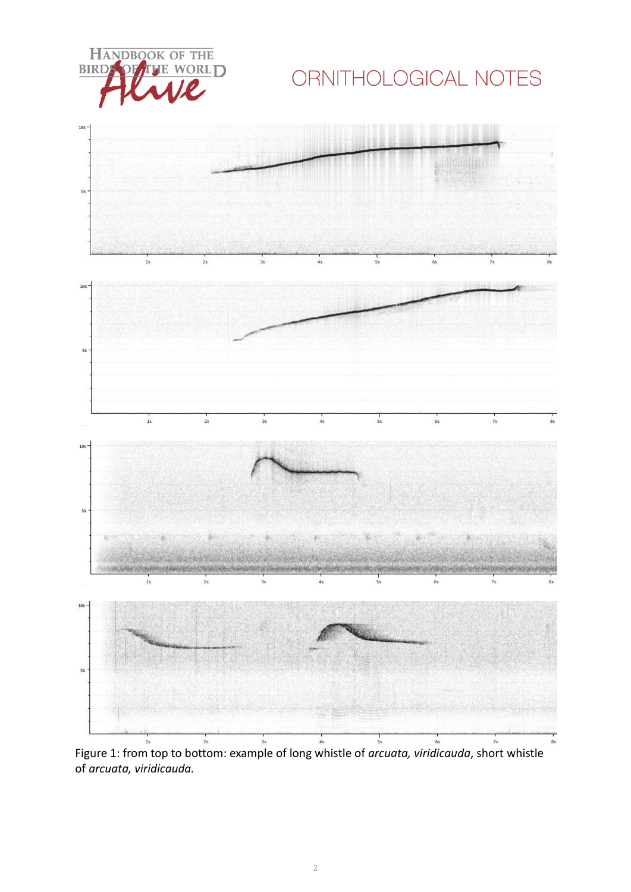**HANDBOOK OF THE** E WORLD **BIRD** 

# ORNITHOLOGICAL NOTES



Figure 1: from top to bottom: example of long whistle of *arcuata, viridicauda*, short whistle of *arcuata, viridicauda.*